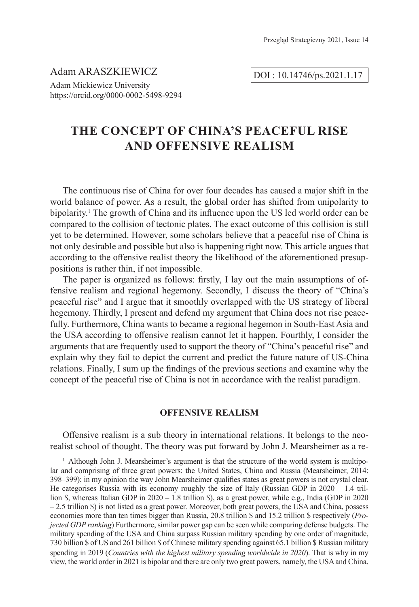Adam ARASZKIEWICZ Adam Mickiewicz University https://orcid.org/0000-0002-5498-9294

DOI : 10.14746/ps.2021.1.17

# **THE CONCEPT OF CHINA'S PEACEFUL RISE AND OFFENSIVE REALISM**

The continuous rise of China for over four decades has caused a major shift in the world balance of power. As a result, the global order has shifted from unipolarity to bipolarity.<sup>1</sup> The growth of China and its influence upon the US led world order can be compared to the collision of tectonic plates. The exact outcome of this collision is still yet to be determined. However, some scholars believe that a peaceful rise of China is not only desirable and possible but also is happening right now. This article argues that according to the offensive realist theory the likelihood of the aforementioned presuppositions is rather thin, if not impossible.

The paper is organized as follows: firstly, I lay out the main assumptions of offensive realism and regional hegemony. Secondly, I discuss the theory of "China's peaceful rise" and I argue that it smoothly overlapped with the US strategy of liberal hegemony. Thirdly, I present and defend my argument that China does not rise peacefully. Furthermore, China wants to became a regional hegemon in South-East Asia and the USA according to offensive realism cannot let it happen. Fourthly, I consider the arguments that are frequently used to support the theory of "China's peaceful rise" and explain why they fail to depict the current and predict the future nature of US-China relations. Finally, I sum up the findings of the previous sections and examine why the concept of the peaceful rise of China is not in accordance with the realist paradigm.

## **OFFENSIVE REALISM**

Offensive realism is a sub theory in international relations. It belongs to the neorealist school of thought. The theory was put forward by John J. Mearsheimer as a re-

<sup>&</sup>lt;sup>1</sup> Although John J. Mearsheimer's argument is that the structure of the world system is multipolar and comprising of three great powers: the United States, China and Russia (Mearsheimer, 2014: 398–399); in my opinion the way John Mearsheimer qualifies states as great powers is not crystal clear. He categorises Russia with its economy roughly the size of Italy (Russian GDP in 2020 – 1.4 trillion \$, whereas Italian GDP in 2020 – 1.8 trillion \$), as a great power, while e.g., India (GDP in 2020 – 2.5 trillion \$) is not listed as a great power. Moreover, both great powers, the USA and China, possess economies more than ten times bigger than Russia, 20.8 trillion \$ and 15.2 trillion \$ respectively (*Projected GDP ranking*) Furthermore, similar power gap can be seen while comparing defense budgets. The military spending of the USA and China surpass Russian military spending by one order of magnitude, 730 billion \$ of US and 261 billion \$ of Chinese military spending against 65.1 billion \$ Russian military spending in 2019 (*Countries with the highest military spending worldwide in 2020*). That is why in my view, the world order in 2021 is bipolar and there are only two great powers, namely, the USA and China.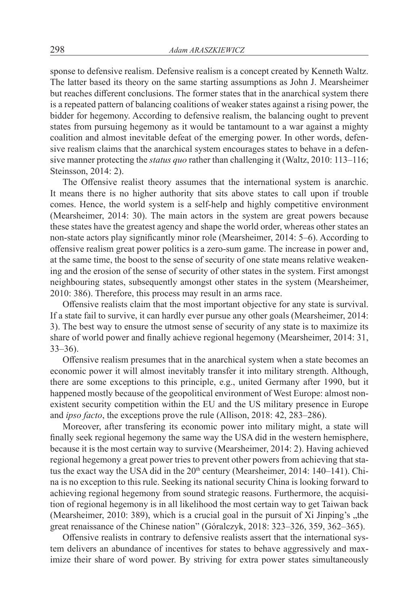sponse to defensive realism. Defensive realism is a concept created by Kenneth Waltz. The latter based its theory on the same starting assumptions as John J. Mearsheimer but reaches different conclusions. The former states that in the anarchical system there is a repeated pattern of balancing coalitions of weaker states against a rising power, the bidder for hegemony. According to defensive realism, the balancing ought to prevent states from pursuing hegemony as it would be tantamount to a war against a mighty coalition and almost inevitable defeat of the emerging power. In other words, defensive realism claims that the anarchical system encourages states to behave in a defensive manner protecting the *status quo* rather than challenging it (Waltz, 2010: 113–116; Steinsson, 2014: 2).

The Offensive realist theory assumes that the international system is anarchic. It means there is no higher authority that sits above states to call upon if trouble comes. Hence, the world system is a self-help and highly competitive environment (Mearsheimer, 2014: 30). The main actors in the system are great powers because these states have the greatest agency and shape the world order, whereas other states an non-state actors play significantly minor role (Mearsheimer, 2014: 5–6). According to offensive realism great power politics is a zero-sum game. The increase in power and, at the same time, the boost to the sense of security of one state means relative weakening and the erosion of the sense of security of other states in the system. First amongst neighbouring states, subsequently amongst other states in the system (Mearsheimer, 2010: 386). Therefore, this process may result in an arms race.

Offensive realists claim that the most important objective for any state is survival. If a state fail to survive, it can hardly ever pursue any other goals (Mearsheimer, 2014: 3). The best way to ensure the utmost sense of security of any state is to maximize its share of world power and finally achieve regional hegemony (Mearsheimer, 2014: 31, 33–36).

Offensive realism presumes that in the anarchical system when a state becomes an economic power it will almost inevitably transfer it into military strength. Although, there are some exceptions to this principle, e.g., united Germany after 1990, but it happened mostly because of the geopolitical environment of West Europe: almost nonexistent security competition within the EU and the US military presence in Europe and *ipso facto*, the exceptions prove the rule (Allison, 2018: 42, 283–286).

Moreover, after transfering its economic power into military might, a state will finally seek regional hegemony the same way the USA did in the western hemisphere, because it is the most certain way to survive (Mearsheimer, 2014: 2). Having achieved regional hegemony a great power tries to prevent other powers from achieving that status the exact way the USA did in the  $20<sup>th</sup>$  century (Mearsheimer,  $2014$ : 140–141). China is no exception to this rule. Seeking its national security China is looking forward to achieving regional hegemony from sound strategic reasons. Furthermore, the acquisition of regional hegemony is in all likelihood the most certain way to get Taiwan back (Mearsheimer,  $2010: 389$ ), which is a crucial goal in the pursuit of Xi Jinping's "the great renaissance of the Chinese nation" (Góralczyk, 2018: 323–326, 359, 362–365).

Offensive realists in contrary to defensive realists assert that the international system delivers an abundance of incentives for states to behave aggressively and maximize their share of word power. By striving for extra power states simultaneously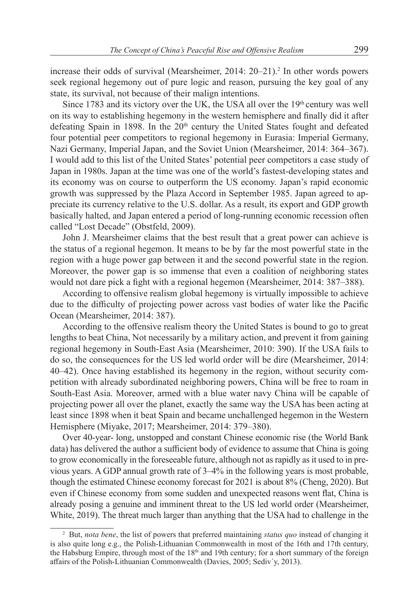increase their odds of survival (Mearsheimer, 2014: 20–21).<sup>2</sup> In other words powers seek regional hegemony out of pure logic and reason, pursuing the key goal of any state, its survival, not because of their malign intentions.

Since 1783 and its victory over the UK, the USA all over the  $19<sup>th</sup>$  century was well on its way to establishing hegemony in the western hemisphere and finally did it after defeating Spain in 1898. In the  $20<sup>th</sup>$  century the United States fought and defeated four potential peer competitors to regional hegemony in Eurasia: Imperial Germany, Nazi Germany, Imperial Japan, and the Soviet Union (Mearsheimer, 2014: 364–367). I would add to this list of the United States' potential peer competitors a case study of Japan in 1980s. Japan at the time was one of the world's fastest-developing states and its economy was on course to outperform the US economy. Japan's rapid economic growth was suppressed by the Plaza Accord in September 1985. Japan agreed to appreciate its currency relative to the U.S. dollar. As a result, its export and GDP growth basically halted, and Japan entered a period of long-running economic recession often called "Lost Decade" (Obstfeld, 2009).

John J. Mearsheimer claims that the best result that a great power can achieve is the status of a regional hegemon. It means to be by far the most powerful state in the region with a huge power gap between it and the second powerful state in the region. Moreover, the power gap is so immense that even a coalition of neighboring states would not dare pick a fight with a regional hegemon (Mearsheimer, 2014: 387–388).

According to offensive realism global hegemony is virtually impossible to achieve due to the difficulty of projecting power across vast bodies of water like the Pacific Ocean (Mearsheimer, 2014: 387).

According to the offensive realism theory the United States is bound to go to great lengths to beat China, Not necessarily by a military action, and prevent it from gaining regional hegemony in South-East Asia (Mearsheimer, 2010: 390). If the USA fails to do so, the consequences for the US led world order will be dire (Mearsheimer, 2014: 40–42). Once having established its hegemony in the region, without security competition with already subordinated neighboring powers, China will be free to roam in South-East Asia. Moreover, armed with a blue water navy China will be capable of projecting power all over the planet, exactly the same way the USA has been acting at least since 1898 when it beat Spain and became unchallenged hegemon in the Western Hemisphere (Miyake, 2017; Mearsheimer, 2014: 379–380).

Over 40-year- long, unstopped and constant Chinese economic rise (the World Bank data) has delivered the author a sufficient body of evidence to assume that China is going to grow economically in the foreseeable future, although not as rapidly as it used to in previous years. A GDP annual growth rate of 3–4% in the following years is most probable, though the estimated Chinese economy forecast for 2021 is about 8% (Cheng, 2020). But even if Chinese economy from some sudden and unexpected reasons went flat, China is already posing a genuine and imminent threat to the US led world order (Mearsheimer, White, 2019). The threat much larger than anything that the USA had to challenge in the

<sup>2</sup> But, *nota bene*, the list of powers that preferred maintaining *status quo* instead of changing it is also quite long e.g., the Polish-Lithuanian Commonwealth in most of the 16th and 17th century, the Habsburg Empire, through most of the  $18<sup>th</sup>$  and 19th century; for a short summary of the foreign affairs of the Polish-Lithuanian Commonwealth (Davies, 2005; Sediv´y, 2013).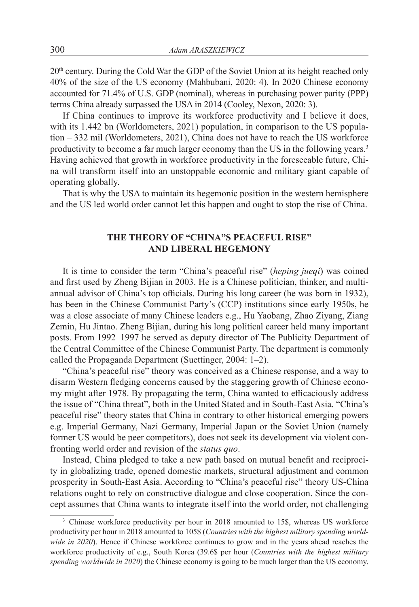$20<sup>th</sup>$  century. During the Cold War the GDP of the Soviet Union at its height reached only 40% of the size of the US economy (Mahbubani, 2020: 4). In 2020 Chinese economy accounted for 71.4% of U.S. GDP (nominal), whereas in purchasing power parity (PPP) terms China already surpassed the USA in 2014 (Cooley, Nexon, 2020: 3).

If China continues to improve its workforce productivity and I believe it does, with its 1.442 bn (Worldometers, 2021) population, in comparison to the US population – 332 mil (Worldometers, 2021), China does not have to reach the US workforce productivity to become a far much larger economy than the US in the following years.<sup>3</sup> Having achieved that growth in workforce productivity in the foreseeable future, China will transform itself into an unstoppable economic and military giant capable of operating globally.

That is why the USA to maintain its hegemonic position in the western hemisphere and the US led world order cannot let this happen and ought to stop the rise of China.

# **THE THEORY OF "CHINA"S PEACEFUL RISE" AND LIBERAL HEGEMONY**

It is time to consider the term "China's peaceful rise" (*heping jueqi*) was coined and first used by Zheng Bijian in 2003. He is a Chinese politician, thinker, and multiannual advisor of China's top officials. During his long career (he was born in 1932), has been in the Chinese Communist Party's (CCP) institutions since early 1950s, he was a close associate of many Chinese leaders e.g., Hu Yaobang, Zhao Ziyang, Ziang Zemin, Hu Jintao. Zheng Bijian, during his long political career held many important posts. From 1992–1997 he served as deputy director of The Publicity Department of the Central Committee of the Chinese Communist Party. The department is commonly called the Propaganda Department (Suettinger, 2004: 1–2).

"China's peaceful rise" theory was conceived as a Chinese response, and a way to disarm Western fledging concerns caused by the staggering growth of Chinese economy might after 1978. By propagating the term, China wanted to efficaciously address the issue of "China threat", both in the United Stated and in South-East Asia. "China's peaceful rise" theory states that China in contrary to other historical emerging powers e.g. Imperial Germany, Nazi Germany, Imperial Japan or the Soviet Union (namely former US would be peer competitors), does not seek its development via violent confronting world order and revision of the *status quo*.

Instead, China pledged to take a new path based on mutual benefit and reciprocity in globalizing trade, opened domestic markets, structural adjustment and common prosperity in South-East Asia. According to "China's peaceful rise" theory US-China relations ought to rely on constructive dialogue and close cooperation. Since the concept assumes that China wants to integrate itself into the world order, not challenging

<sup>&</sup>lt;sup>3</sup> Chinese workforce productivity per hour in 2018 amounted to 15\$, whereas US workforce productivity per hour in 2018 amounted to 105\$ (*Countries with the highest military spending worldwide in 2020*). Hence if Chinese workforce continues to grow and in the years ahead reaches the workforce productivity of e.g., South Korea (39.6\$ per hour (*Countries with the highest military spending worldwide in 2020*) the Chinese economy is going to be much larger than the US economy.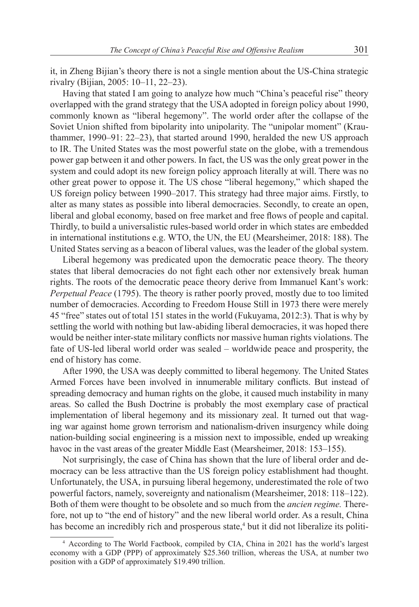it, in Zheng Bijian's theory there is not a single mention about the US-China strategic rivalry (Bijian, 2005: 10–11, 22–23).

Having that stated I am going to analyze how much "China's peaceful rise" theory overlapped with the grand strategy that the USA adopted in foreign policy about 1990, commonly known as "liberal hegemony". The world order after the collapse of the Soviet Union shifted from bipolarity into unipolarity. The "unipolar moment" (Krauthammer, 1990–91: 22–23), that started around 1990, heralded the new US approach to IR. The United States was the most powerful state on the globe, with a tremendous power gap between it and other powers. In fact, the US was the only great power in the system and could adopt its new foreign policy approach literally at will. There was no other great power to oppose it. The US chose "liberal hegemony," which shaped the US foreign policy between 1990–2017. This strategy had three major aims. Firstly, to alter as many states as possible into liberal democracies. Secondly, to create an open, liberal and global economy, based on free market and free flows of people and capital. Thirdly, to build a universalistic rules-based world order in which states are embedded in international institutions e.g. WTO, the UN, the EU (Mearsheimer, 2018: 188). The United States serving as a beacon of liberal values, was the leader of the global system.

Liberal hegemony was predicated upon the democratic peace theory. The theory states that liberal democracies do not fight each other nor extensively break human rights. The roots of the democratic peace theory derive from Immanuel Kant's work: *Perpetual Peace* (1795). The theory is rather poorly proved, mostly due to too limited number of democracies. According to Freedom House Still in 1973 there were merely 45 "free" states out of total 151 states in the world (Fukuyama, 2012:3). That is why by settling the world with nothing but law-abiding liberal democracies, it was hoped there would be neither inter-state military conflicts nor massive human rights violations. The fate of US-led liberal world order was sealed – worldwide peace and prosperity, the end of history has come.

After 1990, the USA was deeply committed to liberal hegemony. The United States Armed Forces have been involved in innumerable military conflicts. But instead of spreading democracy and human rights on the globe, it caused much instability in many areas. So called the Bush Doctrine is probably the most exemplary case of practical implementation of liberal hegemony and its missionary zeal. It turned out that waging war against home grown terrorism and nationalism-driven insurgency while doing nation-building social engineering is a mission next to impossible, ended up wreaking havoc in the vast areas of the greater Middle East (Mearsheimer, 2018: 153–155).

Not surprisingly, the case of China has shown that the lure of liberal order and democracy can be less attractive than the US foreign policy establishment had thought. Unfortunately, the USA, in pursuing liberal hegemony, underestimated the role of two powerful factors, namely, sovereignty and nationalism (Mearsheimer, 2018: 118–122). Both of them were thought to be obsolete and so much from the *ancien regime.* Therefore, not up to "the end of history" and the new liberal world order. As a result, China has become an incredibly rich and prosperous state,<sup>4</sup> but it did not liberalize its politi-

<sup>4</sup> According to The World Factbook, compiled by CIA, China in 2021 has the world's largest economy with a GDP (PPP) of approximately \$25.360 trillion, whereas the USA, at number two position with a GDP of approximately \$19.490 trillion.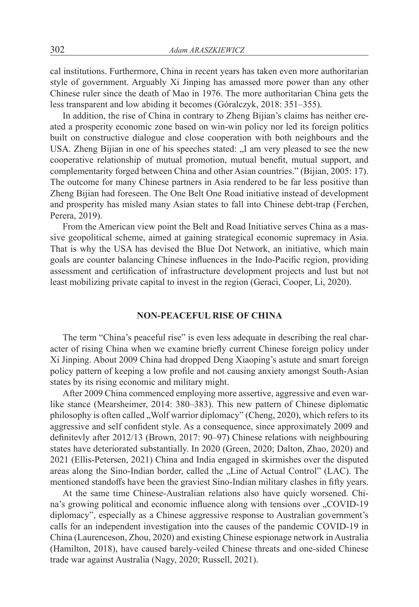cal institutions. Furthermore, China in recent years has taken even more authoritarian style of government. Arguably Xi Jinping has amassed more power than any other Chinese ruler since the death of Mao in 1976. The more authoritarian China gets the less transparent and low abiding it becomes (Góralczyk, 2018: 351–355).

In addition, the rise of China in contrary to Zheng Bijian's claims has neither created a prosperity economic zone based on win-win policy nor led its foreign politics built on constructive dialogue and close cooperation with both neighbours and the USA. Zheng Bijian in one of his speeches stated: "I am very pleased to see the new cooperative relationship of mutual promotion, mutual benefit, mutual support, and complementarity forged between China and other Asian countries." (Bijian, 2005: 17). The outcome for many Chinese partners in Asia rendered to be far less positive than Zheng Bijian had foreseen. The One Belt One Road initiative instead of development and prosperity has misled many Asian states to fall into Chinese debt-trap (Ferchen, Perera, 2019).

From the American view point the Belt and Road Initiative serves China as a massive geopolitical scheme, aimed at gaining strategical economic supremacy in Asia. That is why the USA has devised the Blue Dot Network, an initiative, which main goals are counter balancing Chinese influences in the Indo-Pacific region, providing assessment and certification of infrastructure development projects and lust but not least mobilizing private capital to invest in the region (Geraci, Cooper, Li, 2020).

## **NON-PEACEFUL RISE OF CHINA**

The term "China's peaceful rise" is even less adequate in describing the real character of rising China when we examine briefly current Chinese foreign policy under Xi Jinping. About 2009 China had dropped Deng Xiaoping's astute and smart foreign policy pattern of keeping a low profile and not causing anxiety amongst South-Asian states by its rising economic and military might.

After 2009 China commenced employing more assertive, aggressive and even warlike stance (Mearsheimer, 2014: 380–383). This new pattern of Chinese diplomatic philosophy is often called "Wolf warrior diplomacy" (Cheng, 2020), which refers to its aggressive and self confident style. As a consequence, since approximately 2009 and definitevly after 2012/13 (Brown, 2017: 90–97) Chinese relations with neighbouring states have deteriorated substantially. In 2020 (Green, 2020; Dalton, Zhao, 2020) and 2021 (Ellis-Petersen, 2021) China and India engaged in skirmishes over the disputed areas along the Sino-Indian border, called the "Line of Actual Control" (LAC). The mentioned standoffs have been the graviest Sino-Indian military clashes in fifty years.

At the same time Chinese-Australian relations also have quicly worsened. China's growing political and economic influence along with tensions over "COVID-19 diplomacy", especially as a Chinese aggressive response to Australian government's calls for an independent investigation into the causes of the pandemic COVID-19 in China (Laurenceson, Zhou, 2020) and existing Chinese espionage network in Australia (Hamilton, 2018), have caused barely-veiled Chinese threats and one-sided Chinese trade war against Australia (Nagy, 2020; Russell, 2021).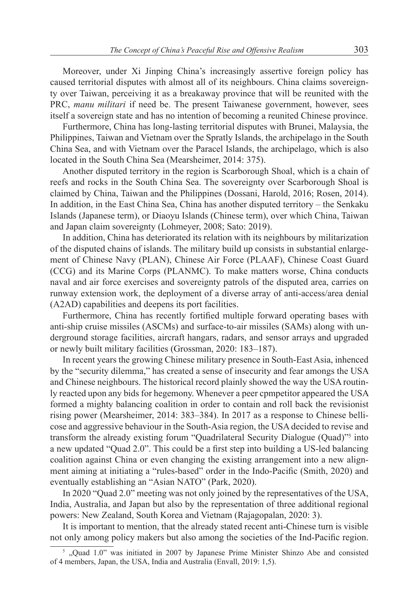Moreover, under Xi Jinping China's increasingly assertive foreign policy has caused territorial disputes with almost all of its neighbours. China claims sovereignty over Taiwan, perceiving it as a breakaway province that will be reunited with the PRC, *manu militari* if need be. The present Taiwanese government, however, sees itself a sovereign state and has no intention of becoming a reunited Chinese province.

Furthermore, China has long-lasting territorial disputes with Brunei, Malaysia, the Philippines, Taiwan and Vietnam over the Spratly Islands, the archipelago in the South China Sea, and with Vietnam over the Paracel Islands, the archipelago, which is also located in the South China Sea (Mearsheimer, 2014: 375).

Another disputed territory in the region is Scarborough Shoal, which is a chain of reefs and rocks in the South China Sea. The sovereignty over Scarborough Shoal is claimed by China, Taiwan and the Philippines (Dossani, Harold, 2016; Rosen, 2014). In addition, in the East China Sea, China has another disputed territory – the Senkaku Islands (Japanese term), or Diaoyu Islands (Chinese term), over which China, Taiwan and Japan claim sovereignty (Lohmeyer, 2008; Sato: 2019).

In addition, China has deteriorated its relation with its neighbours by militarization of the disputed chains of islands. The military build up consists in substantial enlargement of Chinese Navy (PLAN), Chinese Air Force (PLAAF), Chinese Coast Guard (CCG) and its Marine Corps (PLANMC). To make matters worse, China conducts naval and air force exercises and sovereignty patrols of the disputed area, carries on runway extension work, the deployment of a diverse array of anti-access/area denial (A2AD) capabilities and deepens its port facilities.

Furthermore, China has recently fortified multiple forward operating bases with anti-ship cruise missiles (ASCMs) and surface-to-air missiles (SAMs) along with underground storage facilities, aircraft hangars, radars, and sensor arrays and upgraded or newly built military facilities (Grossman, 2020: 183–187).

In recent years the growing Chinese military presence in South-East Asia, inhenced by the "security dilemma," has created a sense of insecurity and fear amongs the USA and Chinese neighbours. The historical record plainly showed the way the USA routinly reacted upon any bids for hegemony. Whenever a peer cpmpetitor appeared the USA formed a mighty balancing coalition in order to contain and roll back the revisionist rising power (Mearsheimer, 2014: 383–384). In 2017 as a response to Chinese bellicose and aggressive behaviour in the South-Asia region, the USA decided to revise and transform the already existing forum "Quadrilateral Security Dialogue (Quad)"5 into a new updated "Quad 2.0". This could be a first step into building a US-led balancing coalition against China or even changing the existing arrangement into a new alignment aiming at initiating a "rules-based" order in the Indo-Pacific (Smith, 2020) and eventually establishing an "Asian NATO" (Park, 2020).

In 2020 "Quad 2.0" meeting was not only joined by the representatives of the USA, India, Australia, and Japan but also by the representation of three additional regional powers: New Zealand, South Korea and Vietnam (Rajagopalan, 2020: 3).

It is important to mention, that the already stated recent anti-Chinese turn is visible not only among policy makers but also among the societies of the Ind-Pacific region.

 $5$ , Quad 1.0" was initiated in 2007 by Japanese Prime Minister Shinzo Abe and consisted of 4 members, Japan, the USA, India and Australia (Envall, 2019: 1,5).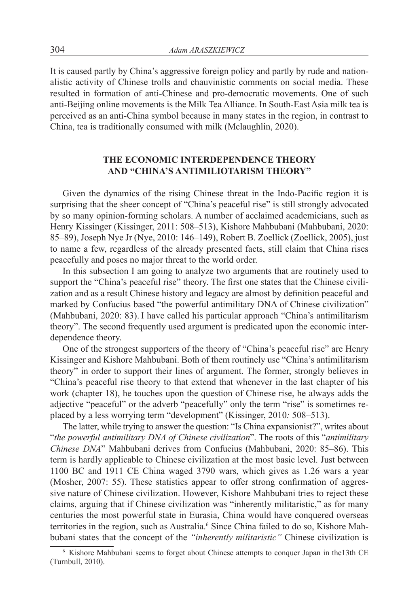It is caused partly by China's aggressive foreign policy and partly by rude and nationalistic activity of Chinese trolls and chauvinistic comments on social media. These resulted in formation of anti-Chinese and pro-democratic movements. One of such anti-Beijing online movements is the Milk Tea Alliance. In South-East Asia milk tea is perceived as an anti-China symbol because in many states in the region, in contrast to China, tea is traditionally consumed with milk (Mclaughlin, 2020).

# **THE ECONOMIC INTERDEPENDENCE THEORY AND "CHINA'S ANTIMILIOTARISM THEORY"**

Given the dynamics of the rising Chinese threat in the Indo-Pacific region it is surprising that the sheer concept of "China's peaceful rise" is still strongly advocated by so many opinion-forming scholars. A number of acclaimed academicians, such as Henry Kissinger (Kissinger, 2011: 508–513), Kishore Mahbubani (Mahbubani, 2020: 85–89), Joseph Nye Jr (Nye, 2010: 146–149), Robert B. Zoellick (Zoellick, 2005), just to name a few, regardless of the already presented facts, still claim that China rises peacefully and poses no major threat to the world order.

In this subsection I am going to analyze two arguments that are routinely used to support the "China's peaceful rise" theory. The first one states that the Chinese civilization and as a result Chinese history and legacy are almost by definition peaceful and marked by Confucius based "the powerful antimilitary DNA of Chinese civilization" (Mahbubani, 2020: 83). I have called his particular approach "China's antimilitarism theory". The second frequently used argument is predicated upon the economic interdependence theory.

One of the strongest supporters of the theory of "China's peaceful rise" are Henry Kissinger and Kishore Mahbubani. Both of them routinely use "China's antimilitarism theory" in order to support their lines of argument. The former, strongly believes in "China's peaceful rise theory to that extend that whenever in the last chapter of his work (chapter 18), he touches upon the question of Chinese rise, he always adds the adjective "peaceful" or the adverb "peacefully" only the term "rise" is sometimes replaced by a less worrying term "development" (Kissinger, 2010*:* 508–513).

The latter, while trying to answer the question: "Is China expansionist?", writes about "*the powerful antimilitary DNA of Chinese civilization*". The roots of this "*antimilitary Chinese DNA*" Mahbubani derives from Confucius (Mahbubani, 2020: 85–86). This term is hardly applicable to Chinese civilization at the most basic level. Just between 1100 BC and 1911 CE China waged 3790 wars, which gives as 1.26 wars a year (Mosher, 2007: 55). These statistics appear to offer strong confirmation of aggressive nature of Chinese civilization. However, Kishore Mahbubani tries to reject these claims, arguing that if Chinese civilization was "inherently militaristic," as for many centuries the most powerful state in Eurasia, China would have conquered overseas territories in the region, such as Australia.<sup>6</sup> Since China failed to do so, Kishore Mahbubani states that the concept of the *"inherently militaristic"* Chinese civilization is

<sup>6</sup> Kishore Mahbubani seems to forget about Chinese attempts to conquer Japan in the13th CE (Turnbull, 2010).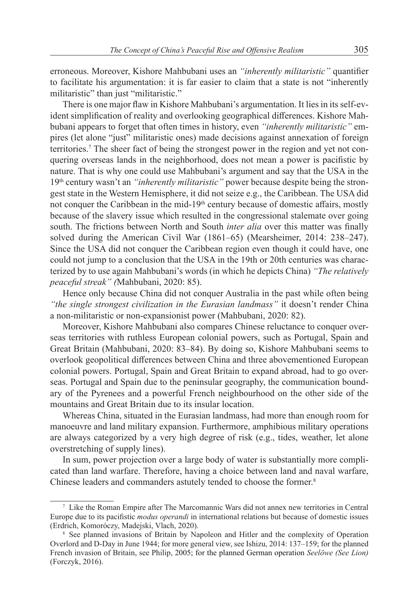erroneous. Moreover, Kishore Mahbubani uses an *"inherently militaristic"* quantifier to facilitate his argumentation: it is far easier to claim that a state is not "inherently militaristic" than just "militaristic."

There is one major flaw in Kishore Mahbubani's argumentation. It lies in its self-evident simplification of reality and overlooking geographical differences. Kishore Mahbubani appears to forget that often times in history, even *"inherently militaristic"* empires (let alone "just" militaristic ones) made decisions against annexation of foreign territories.<sup>7</sup> The sheer fact of being the strongest power in the region and yet not conquering overseas lands in the neighborhood, does not mean a power is pacifistic by nature. That is why one could use Mahbubani's argument and say that the USA in the 19th century wasn't an *"inherently militaristic"* power because despite being the strongest state in the Western Hemisphere, it did not seize e.g., the Caribbean. The USA did not conquer the Caribbean in the mid-19<sup>th</sup> century because of domestic affairs, mostly because of the slavery issue which resulted in the congressional stalemate over going south. The frictions between North and South *inter alia* over this matter was finally solved during the American Civil War (1861–65) (Mearsheimer, 2014: 238–247). Since the USA did not conquer the Caribbean region even though it could have, one could not jump to a conclusion that the USA in the 19th or 20th centuries was characterized by to use again Mahbubani's words (in which he depicts China) *"The relatively peaceful streak" (*Mahbubani, 2020: 85).

Hence only because China did not conquer Australia in the past while often being *"the single strongest civilization in the Eurasian landmass"* it doesn't render China a non-militaristic or non-expansionist power (Mahbubani, 2020: 82).

Moreover, Kishore Mahbubani also compares Chinese reluctance to conquer overseas territories with ruthless European colonial powers, such as Portugal, Spain and Great Britain (Mahbubani, 2020: 83–84). By doing so, Kishore Mahbubani seems to overlook geopolitical differences between China and three abovementioned European colonial powers. Portugal, Spain and Great Britain to expand abroad, had to go overseas. Portugal and Spain due to the peninsular geography, the communication boundary of the Pyrenees and a powerful French neighbourhood on the other side of the mountains and Great Britain due to its insular location.

Whereas China, situated in the Eurasian landmass, had more than enough room for manoeuvre and land military expansion. Furthermore, amphibious military operations are always categorized by a very high degree of risk (e.g., tides, weather, let alone overstretching of supply lines).

In sum, power projection over a large body of water is substantially more complicated than land warfare. Therefore, having a choice between land and naval warfare, Chinese leaders and commanders astutely tended to choose the former. 8

<sup>7</sup> Like the Roman Empire after The Marcomannic Wars did not annex new territories in Central Europe due to its pacifistic *modus operandi* in international relations but because of domestic issues (Erdrich, Komoróczy, Madejski, Vlach, 2020).

<sup>&</sup>lt;sup>8</sup> See planned invasions of Britain by Napoleon and Hitler and the complexity of Operation Overlord and D-Day in June 1944; for more general view, see Ishizu, 2014: 137–159; for the planned French invasion of Britain, see Philip, 2005; for the planned German operation *Seelöwe (See Lion)* (Forczyk, 2016).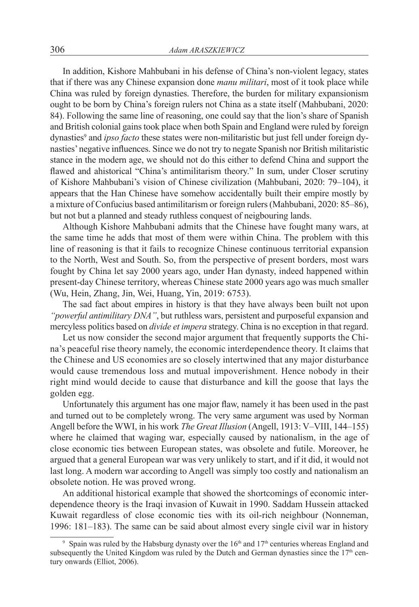In addition, Kishore Mahbubani in his defense of China's non-violent legacy, states that if there was any Chinese expansion done *manu militari*, most of it took place while China was ruled by foreign dynasties. Therefore, the burden for military expansionism ought to be born by China's foreign rulers not China as a state itself (Mahbubani, 2020: 84). Following the same line of reasoning, one could say that the lion's share of Spanish and British colonial gains took place when both Spain and England were ruled by foreign dynasties<sup>9</sup> and *ipso facto* these states were non-militaristic but just fell under foreign dynasties' negative influences. Since we do not try to negate Spanish nor British militaristic stance in the modern age, we should not do this either to defend China and support the flawed and ahistorical "China's antimilitarism theory." In sum, under Closer scrutiny of Kishore Mahbubani's vision of Chinese civilization (Mahbubani, 2020: 79–104), it appears that the Han Chinese have somehow accidentally built their empire mostly by a mixture of Confucius based antimilitarism or foreign rulers (Mahbubani, 2020: 85–86), but not but a planned and steady ruthless conquest of neigbouring lands.

Although Kishore Mahbubani admits that the Chinese have fought many wars, at the same time he adds that most of them were within China. The problem with this line of reasoning is that it fails to recognize Chinese continuous territorial expansion to the North, West and South. So, from the perspective of present borders, most wars fought by China let say 2000 years ago, under Han dynasty, indeed happened within present-day Chinese territory, whereas Chinese state 2000 years ago was much smaller (Wu, Hein, Zhang, Jin, Wei, Huang, Yin, 2019: 6753).

The sad fact about empires in history is that they have always been built not upon *"powerful antimilitary DNA"*, but ruthless wars, persistent and purposeful expansion and mercyless politics based on *divide et impera* strategy. China is no exception in that regard.

Let us now consider the second major argument that frequently supports the China's peaceful rise theory namely, the economic interdependence theory. It claims that the Chinese and US economies are so closely intertwined that any major disturbance would cause tremendous loss and mutual impoverishment. Hence nobody in their right mind would decide to cause that disturbance and kill the goose that lays the golden egg.

Unfortunately this argument has one major flaw, namely it has been used in the past and turned out to be completely wrong. The very same argument was used by Norman Angell before the WWI, in his work *The Great Illusion* (Angell, 1913: V–VIII, 144–155) where he claimed that waging war, especially caused by nationalism, in the age of close economic ties between European states, was obsolete and futile. Moreover, he argued that a general European war was very unlikely to start, and if it did, it would not last long. A modern war according to Angell was simply too costly and nationalism an obsolete notion. He was proved wrong.

An additional historical example that showed the shortcomings of economic interdependence theory is the Iraqi invasion of Kuwait in 1990. Saddam Hussein attacked Kuwait regardless of close economic ties with its oil-rich neighbour (Nonneman, 1996: 181–183). The same can be said about almost every single civil war in history

<sup>&</sup>lt;sup>9</sup> Spain was ruled by the Habsburg dynasty over the  $16<sup>th</sup>$  and  $17<sup>th</sup>$  centuries whereas England and subsequently the United Kingdom was ruled by the Dutch and German dynasties since the  $17<sup>th</sup>$  century onwards (Elliot, 2006).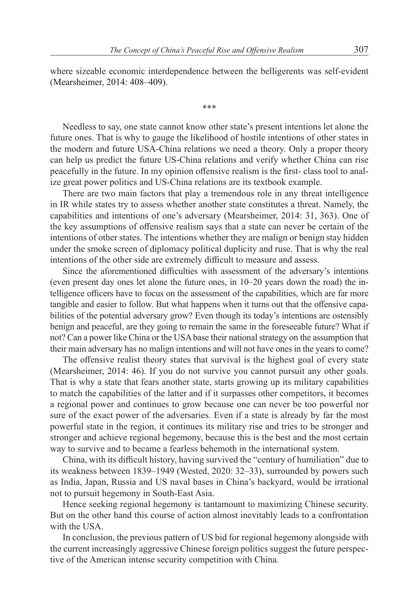where sizeable economic interdependence between the belligerents was self-evident (Mearsheimer, 2014: 408–409).

\*\*\*

Needless to say, one state cannot know other state's present intentions let alone the future ones. That is why to gauge the likelihood of hostile intentions of other states in the modern and future USA-China relations we need a theory. Only a proper theory can help us predict the future US-China relations and verify whether China can rise peacefully in the future. In my opinion offensive realism is the first- class tool to analize great power politics and US-China relations are its textbook example.

There are two main factors that play a tremendous role in any threat intelligence in IR while states try to assess whether another state constitutes a threat. Namely, the capabilities and intentions of one's adversary (Mearsheimer, 2014: 31, 363). One of the key assumptions of offensive realism says that a state can never be certain of the intentions of other states. The intentions whether they are malign or benign stay hidden under the smoke screen of diplomacy political duplicity and ruse. That is why the real intentions of the other side are extremely difficult to measure and assess.

Since the aforementioned difficulties with assessment of the adversary's intentions (even present day ones let alone the future ones, in 10–20 years down the road) the intelligence officers have to focus on the assessment of the capabilities, which are far more tangible and easier to follow. But what happens when it turns out that the offensive capabilities of the potential adversary grow? Even though its today's intentions are ostensibly benign and peaceful, are they going to remain the same in the foreseeable future? What if not? Can a power like China or the USA base their national strategy on the assumption that their main adversary has no malign intentions and will not have ones in the years to come?

The offensive realist theory states that survival is the highest goal of every state (Mearsheimer, 2014: 46). If you do not survive you cannot pursuit any other goals. That is why a state that fears another state, starts growing up its military capabilities to match the capabilities of the latter and if it surpasses other competitors, it becomes a regional power and continues to grow because one can never be too powerful nor sure of the exact power of the adversaries. Even if a state is already by far the most powerful state in the region, it continues its military rise and tries to be stronger and stronger and achieve regional hegemony, because this is the best and the most certain way to survive and to became a fearless behemoth in the international system.

China, with its difficult history, having survived the "century of humiliation" due to its weakness between 1839–1949 (Wested, 2020: 32–33), surrounded by powers such as India, Japan, Russia and US naval bases in China's backyard, would be irrational not to pursuit hegemony in South-East Asia.

Hence seeking regional hegemony is tantamount to maximizing Chinese security. But on the other hand this course of action almost inevitably leads to a confrontation with the USA.

In conclusion, the previous pattern of US bid for regional hegemony alongside with the current increasingly aggressive Chinese foreign politics suggest the future perspective of the American intense security competition with China.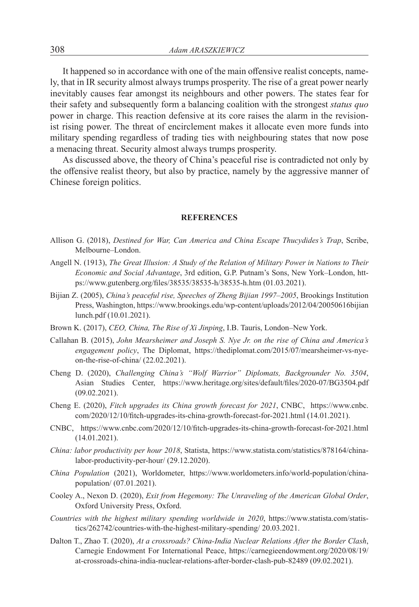It happened so in accordance with one of the main offensive realist concepts, namely, that in IR security almost always trumps prosperity. The rise of a great power nearly inevitably causes fear amongst its neighbours and other powers. The states fear for their safety and subsequently form a balancing coalition with the strongest *status quo* power in charge. This reaction defensive at its core raises the alarm in the revisionist rising power. The threat of encirclement makes it allocate even more funds into military spending regardless of trading ties with neighbouring states that now pose a menacing threat. Security almost always trumps prosperity.

As discussed above, the theory of China's peaceful rise is contradicted not only by the offensive realist theory, but also by practice, namely by the aggressive manner of Chinese foreign politics.

#### **REFERENCES**

- Allison G. (2018), *Destined for War, Can America and China Escape Thucydides's Trap*, Scribe, Melbourne–London.
- Angell N. (1913), *The Great Illusion: A Study of the Relation of Military Power in Nations to Their Economic and Social Advantage*, 3rd edition, G.P. Putnam's Sons, New York–London, https://www.gutenberg.org/files/38535/38535-h/38535-h.htm (01.03.2021).
- Bijian Z. (2005), *China's peaceful rise, Speeches of Zheng Bijian 1997–2005*, Brookings Institution Press, Washington, https://www.brookings.edu/wp-content/uploads/2012/04/20050616bijian lunch.pdf (10.01.2021).
- Brown K. (2017), *CEO, China, The Rise of Xi Jinping*, I.B. Tauris, London–New York.
- Callahan B. (2015), *John Mearsheimer and Joseph S. Nye Jr. on the rise of China and America's engagement policy*, The Diplomat, https://thediplomat.com/2015/07/mearsheimer-vs-nyeon-the-rise-of-china/ (22.02.2021).
- Cheng D. (2020), *Challenging China's "Wolf Warrior" Diplomats, Backgrounder No. 3504*, Asian Studies Center, https://www.heritage.org/sites/default/files/2020-07/BG3504.pdf (09.02.2021).
- Cheng E. (2020), *Fitch upgrades its China growth forecast for 2021*, CNBC, https://www.cnbc. com/2020/12/10/fitch-upgrades-its-china-growth-forecast-for-2021.html (14.01.2021).
- CNBC, https://www.cnbc.com/2020/12/10/fitch-upgrades-its-china-growth-forecast-for-2021.html (14.01.2021).
- *China: labor productivity per hour 2018*, Statista, https://www.statista.com/statistics/878164/chinalabor-productivity-per-hour/ (29.12.2020).
- *China Population* (2021), Worldometer, https://www.worldometers.info/world-population/chinapopulation/ (07.01.2021).
- Cooley A., Nexon D. (2020), *Exit from Hegemony: The Unraveling of the American Global Order*, Oxford University Press, Oxford.
- *Countries with the highest military spending worldwide in 2020*, https://www.statista.com/statistics/262742/countries-with-the-highest-military-spending/ 20.03.2021.
- Dalton T., Zhao T. (2020), *At a crossroads? China-India Nuclear Relations After the Border Clash*, Carnegie Endowment For International Peace, https://carnegieendowment.org/2020/08/19/ at-crossroads-china-india-nuclear-relations-after-border-clash-pub-82489 (09.02.2021).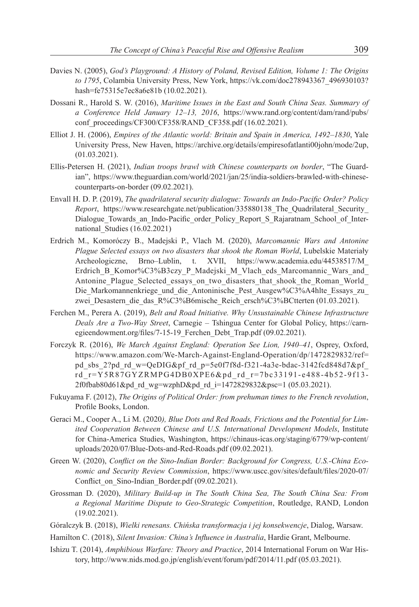- Davies N. (2005), *God's Playground: A History of Poland, Revised Edition, Volume 1: The Origins to 1795*, Colambia University Press, New York, https://vk.com/doc278943367\_496930103? hash=fe75315e7ec8a6e81b (10.02.2021).
- Dossani R., Harold S. W. (2016), *Maritime Issues in the East and South China Seas. Summary of a Conference Held January 12–13, 2016*, https://www.rand.org/content/dam/rand/pubs/ conf\_proceedings/CF300/CF358/RAND\_CF358.pdf (16.02.2021).
- Elliot J. H. (2006), *Empires of the Atlantic world: Britain and Spain in America, 1492–1830*, Yale University Press, New Haven, https://archive.org/details/empiresofatlanti00john/mode/2up, (01.03.2021).
- Ellis-Petersen H. (2021), *Indian troops brawl with Chinese counterparts on border*, "The Guardian", https://www.theguardian.com/world/2021/jan/25/india-soldiers-brawled-with-chinesecounterparts-on-border (09.02.2021).
- Envall H. D. P. (2019), *The quadrilateral security dialogue: Towards an Indo-Pacific Order? Policy Report*, https://www.researchgate.net/publication/335880138\_The\_Quadrilateral\_Security\_ Dialogue Towards an Indo-Pacific order Policy Report S Rajaratnam School of International Studies (16.02.2021)
- Erdrich M., Komoróczy B., Madejski P., Vlach M. (2020), *Marcomannic Wars and Antonine Plague Selected essays on two disasters that shook the Roman World*, Lubelskie Materiały Archeologiczne, Brno–Lublin, t. XVII, https://www.academia.edu/44538517/M\_ Erdrich\_B\_Komor%C3%B3czy\_P\_Madejski\_M\_Vlach\_eds\_Marcomannic\_Wars\_and Antonine\_Plague\_Selected\_essays\_on\_two\_disasters\_that\_shook\_the\_Roman\_World\_ Die Markomannenkriege und die Antoninische Pest Ausgew%C3%A4hlte Essays zu zwei Desastern die das R%C3%B6mische Reich ersch%C3%BCtterten (01.03.2021).
- Ferchen M., Perera A. (2019), *Belt and Road Initiative. Why Unsustainable Chinese Infrastructure Deals Are a Two-Way Street*, Carnegie – Tshingua Center for Global Policy, https://carnegieendowment.org/files/7-15-19 Ferchen Debt Trap.pdf (09.02.2021).
- Forczyk R. (2016), *We March Against England: Operation See Lion, 1940–41*, Osprey, Oxford, https://www.amazon.com/We-March-Against-England-Operation/dp/1472829832/ref= pd\_sbs\_2?pd\_rd\_w=QeDIG&pf\_rd\_p=5e0f7f8d-f321-4a3e-bdac-3142fcd848d7&pf\_ rd\_r=Y5R87GYZRMPG4DB0XPE6&pd\_rd\_r=7bc33191-e488-4b52-9f13- 2f0fbab80d61&pd\_rd\_wg=wzphD&pd\_rd\_i=1472829832&psc=1 (05.03.2021).
- Fukuyama F. (2012), *The Origins of Political Order: from prehuman times to the French revolution*, Profile Books, London.
- Geraci M., Cooper A., Li M. (2020*), Blue Dots and Red Roads, Frictions and the Potential for Limited Cooperation Between Chinese and U.S. International Development Models*, Institute for China-America Studies, Washington, https://chinaus-icas.org/staging/6779/wp-content/ uploads/2020/07/Blue-Dots-and-Red-Roads.pdf (09.02.2021).
- Green W. (2020), *Conflict on the Sino-Indian Border: Background for Congress, U.S.-China Economic and Security Review Commission*, https://www.uscc.gov/sites/default/files/2020-07/ Conflict on Sino-Indian Border.pdf (09.02.2021).
- Grossman D. (2020), *Military Build-up in The South China Sea, The South China Sea: From a Regional Maritime Dispute to Geo-Strategic Competition*, Routledge, RAND, London (19.02.2021).
- Góralczyk B. (2018), *Wielki renesans. Chińska transformacja i jej konsekwencje*, Dialog, Warsaw.
- Hamilton C. (2018), *Silent Invasion: China's Influence in Australia*, Hardie Grant, Melbourne.
- Ishizu T. (2014), *Amphibious Warfare: Theory and Practice*, 2014 International Forum on War History, http://www.nids.mod.go.jp/english/event/forum/pdf/2014/11.pdf (05.03.2021).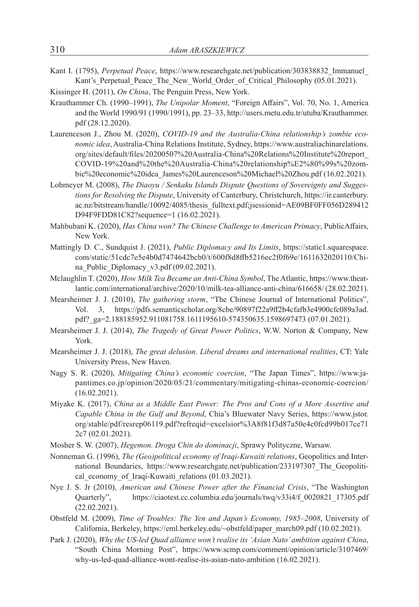- Kant I*.* (1795), *Perpetual Peace*, https://www.researchgate.net/publication/303838832\_Immanuel\_ Kant's Perpetual Peace The New World Order of Critical Philosophy (05.01.2021).
- Kissinger H. (2011), *On China*, The Penguin Press, New York.
- Krauthammer Ch. (1990–1991), *The Unipolar Moment*, "Foreign Affairs", Vol. 70, No. 1, America and the World 1990/91 (1990/1991), pp. 23–33, http://users.metu.edu.tr/utuba/Krauthammer. pdf (28.12.2020).
- Laurenceson J., Zhou M. (2020), *COVID-19 and the Australia-China relationship's zombie economic idea*, Australia-China Relations Institute, Sydney, https://www.australiachinarelations. org/sites/default/files/20200507%20Australia-China%20Relations%20Institute%20report\_ COVID-19%20and%20the%20Australia-China%20relationship%E2%80%99s%20zombie%20economic%20idea\_James%20Laurenceson%20Michael%20Zhou.pdf (16.02.2021).
- Lohmeyer M. (2008), *The Diaoyu / Senkaku Islands Dispute Questions of Sovereignty and Suggestions for Resolving the Dispute*, University of Canterbury, Christchurch, https://ir.canterbury. ac.nz/bitstream/handle/10092/4085/thesis\_fulltext.pdf;jsessionid=AE09BF0FF056D289412 D94F9FDD81C82?sequence=1 (16.02.2021).
- Mahbubani K. (2020), *Has China won? The Chinese Challenge to American Primacy*, PublicAffairs, New York.
- Mattingly D. C., Sundquist J. (2021), *Public Diplomacy and Its Limits*, https://static1.squarespace. com/static/51cdc7e5e4b0d7474642bcb0/t/600f8d8ffb5216ec2f0f69e/1611632020110/China Public Diplomacy v3.pdf (09.02.2021).
- Mclaughlin T. (2020), *How Milk Tea Became an Anti-China Symbol*, The Atlantic, https://www.theatlantic.com/international/archive/2020/10/milk-tea-alliance-anti-china/616658/ (28.02.2021).
- Mearsheimer J. J. (2010), *The gathering storm*, "The Chinese Journal of International Politics", Vol. 3, https://pdfs.semanticscholar.org/8cbe/90897f22a9ff2b4cfafb3e4900cfc089a3ad. pdf?\_ga=2.188185952.911081758.1611195610-574350635.1598697473 (07.01.2021).
- Mearsheimer J. J. (2014), *The Tragedy of Great Power Politics*, W.W. Norton & Company, New York.
- Mearsheimer J. J. (2018), *The great delusion. Liberal dreams and international realities*, CT: Yale University Press, New Haven.
- Nagy S. R. (2020), *Mitigating China's economic coercion*, "The Japan Times", https://www.japantimes.co.jp/opinion/2020/05/21/commentary/mitigating-chinas-economic-coercion/ (16.02.2021).
- Miyake K. (2017), *China as a Middle East Power: The Pros and Cons of a More Assertive and Capable China in the Gulf and Beyond*, Chia's Bluewater Navy Series, https://www.jstor. org/stable/pdf/resrep06119.pdf?refreqid=excelsior%3A8f81f3d87a50e4c0fcd99b017ce71 2c7 (02.01.2021).
- Mosher S. W. (2007), *Hegemon. Droga Chin do dominacji*, Sprawy Polityczne, Warsaw.
- Nonneman G. (1996), *The (Geo)political economy of Iraqi‐Kuwaiti relations*, Geopolitics and International Boundaries, https://www.researchgate.net/publication/233197307 The Geopolitical\_economy\_of\_Iraqi-Kuwaiti\_relations (01.03.2021).
- Nye J. S. Jr (2010), *American and Chinese Power after the Financial Crisis*, "The Washington Quarterly", https://ciaotest.cc.columbia.edu/journals/twq/v33i4/f\_0020821\_17305.pdf (22.02.2021).
- Obstfeld M. (2009), *Time of Troubles: The Yen and Japan's Economy, 1985–2008*, University of California, Berkeley, https://eml.berkeley.edu/~obstfeld/paper\_march09.pdf (10.02.2021).
- Park J. (2020), *Why the US-led Quad alliance won't realise its 'Asian Nato' ambition against China*, "South China Morning Post", https://www.scmp.com/comment/opinion/article/3107469/ why-us-led-quad-alliance-wont-realise-its-asian-nato-ambition (16.02.2021).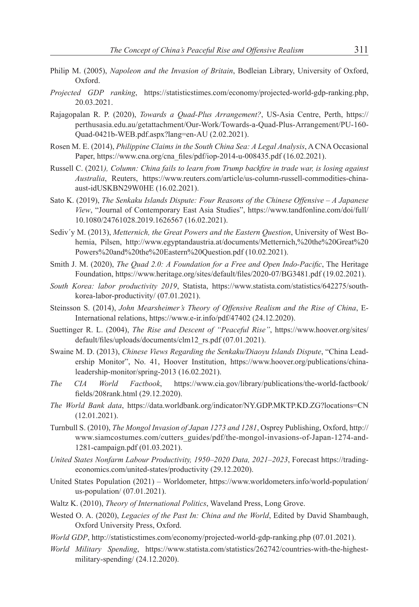- Philip M. (2005), *Napoleon and the Invasion of Britain*, Bodleian Library, University of Oxford, Oxford.
- *Projected GDP ranking*, https://statisticstimes.com/economy/projected-world-gdp-ranking.php, 20.03.2021.
- Rajagopalan R. P. (2020), *Towards a Quad-Plus Arrangement?*, US-Asia Centre, Perth, https:// perthusasia.edu.au/getattachment/Our-Work/Towards-a-Quad-Plus-Arrangement/PU-160- Quad-0421b-WEB.pdf.aspx?lang=en-AU (2.02.2021).
- Rosen M. E. (2014), *Philippine Claims in the South China Sea: A Legal Analysis*, A CNA Occasional Paper, https://www.cna.org/cna\_files/pdf/iop-2014-u-008435.pdf (16.02.2021).
- Russell C. (2021*), Column: China fails to learn from Trump backfire in trade war, is losing against Australia*, Reuters, https://www.reuters.com/article/us-column-russell-commodities-chinaaust-idUSKBN29W0HE (16.02.2021).
- Sato K. (2019), *The Senkaku Islands Dispute: Four Reasons of the Chinese Offensive – A Japanese View*, "Journal of Contemporary East Asia Studies", https://www.tandfonline.com/doi/full/ 10.1080/24761028.2019.1626567 (16.02.2021).
- Sediv´y M. (2013), *Metternich, the Great Powers and the Eastern Question*, University of West Bohemia, Pilsen, http://www.egyptandaustria.at/documents/Metternich,%20the%20Great%20 Powers%20and%20the%20Eastern%20Question.pdf (10.02.2021).
- Smith J. M. (2020), *The Quad 2.0: A Foundation for a Free and Open Indo-Pacific*, The Heritage Foundation, https://www.heritage.org/sites/default/files/2020-07/BG3481.pdf (19.02.2021).
- *South Korea: labor productivity 2019*, Statista, https://www.statista.com/statistics/642275/southkorea-labor-productivity/ (07.01.2021).
- Steinsson S. (2014), *John Mearsheimer's Theory of Offensive Realism and the Rise of China*, E-International relations, https://www.e-ir.info/pdf/47402 (24.12.2020).
- Suettinger R. L. (2004), *The Rise and Descent of "Peaceful Rise"*, https://www.hoover.org/sites/ default/files/uploads/documents/clm12\_rs.pdf (07.01.2021).
- Swaine M. D. (2013), *Chinese Views Regarding the Senkaku/Diaoyu Islands Dispute*, "China Leadership Monitor", No. 41, Hoover Institution, https://www.hoover.org/publications/chinaleadership-monitor/spring-2013 (16.02.2021).
- *The CIA World Factbook*, https://www.cia.gov/library/publications/the-world-factbook/ fields/208rank.html (29.12.2020).
- *The World Bank data*, https://data.worldbank.org/indicator/NY.GDP.MKTP.KD.ZG?locations=CN (12.01.2021).
- Turnbull S. (2010), *The Mongol Invasion of Japan 1273 and 1281*, Osprey Publishing, Oxford, http:// www.siamcostumes.com/cutters\_guides/pdf/the-mongol-invasions-of-Japan-1274-and-1281-campaign.pdf (01.03.2021).
- *United States Nonfarm Labour Productivity, 1950–2020 Data, 2021–2023*, Forecast https://tradingeconomics.com/united-states/productivity (29.12.2020).
- United States Population (2021) Worldometer, https://www.worldometers.info/world-population/ us-population/ (07.01.2021).
- Waltz K. (2010), *Theory of International Politics*, Waveland Press, Long Grove.
- Wested O. A. (2020), *Legacies of the Past In: China and the World*, Edited by David Shambaugh, Oxford University Press, Oxford.
- *World GDP*, http://statisticstimes.com/economy/projected-world-gdp-ranking.php (07.01.2021).
- *World Military Spending*, https://www.statista.com/statistics/262742/countries-with-the-highestmilitary-spending/ (24.12.2020).